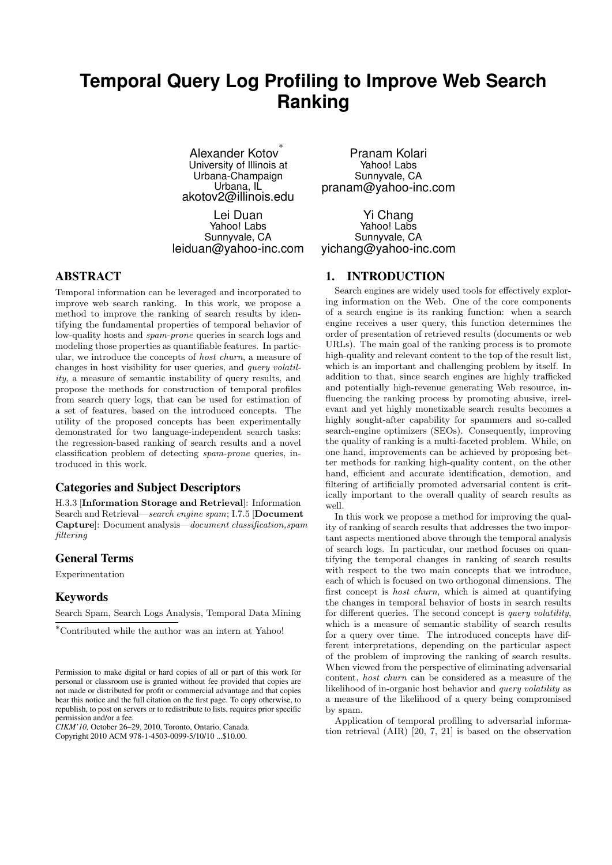# **Temporal Query Log Profiling to Improve Web Search Ranking**

Alexander Kotov *∗* University of Illinois at Urbana-Champaign Urbana, IL akotov2@illinois.edu Lei Duan Yahoo! Labs Sunnyvale, CA leiduan@yahoo-inc.com

ABSTRACT

Temporal information can be leveraged and incorporated to improve web search ranking. In this work, we propose a method to improve the ranking of search results by identifying the fundamental properties of temporal behavior of low-quality hosts and *spam-prone* queries in search logs and modeling those properties as quantifiable features. In particular, we introduce the concepts of *host churn*, a measure of changes in host visibility for user queries, and *query volatility*, a measure of semantic instability of query results, and propose the methods for construction of temporal profiles from search query logs, that can be used for estimation of a set of features, based on the introduced concepts. The utility of the proposed concepts has been experimentally demonstrated for two language-independent search tasks: the regression-based ranking of search results and a novel classification problem of detecting *spam-prone* queries, introduced in this work.

# Categories and Subject Descriptors

H.3.3 [**Information Storage and Retrieval**]: Information Search and Retrieval—*search engine spam*; I.7.5 [**Document Capture**]: Document analysis—*document classification,spam filtering*

# General Terms

Experimentation

## Keywords

Search Spam, Search Logs Analysis, Temporal Data Mining

*∗*Contributed while the author was an intern at Yahoo!

*CIKM'10,* October 26–29, 2010, Toronto, Ontario, Canada. Copyright 2010 ACM 978-1-4503-0099-5/10/10 ...\$10.00.

Pranam Kolari Yahoo! Labs Sunnyvale, CA pranam@yahoo-inc.com

Yi Chang Yahoo! Labs Sunnyvale, CA yichang@yahoo-inc.com

# 1. INTRODUCTION

Search engines are widely used tools for effectively exploring information on the Web. One of the core components of a search engine is its ranking function: when a search engine receives a user query, this function determines the order of presentation of retrieved results (documents or web URLs). The main goal of the ranking process is to promote high-quality and relevant content to the top of the result list, which is an important and challenging problem by itself. In addition to that, since search engines are highly trafficked and potentially high-revenue generating Web resource, influencing the ranking process by promoting abusive, irrelevant and yet highly monetizable search results becomes a highly sought-after capability for spammers and so-called search-engine optimizers (SEOs). Consequently, improving the quality of ranking is a multi-faceted problem. While, on one hand, improvements can be achieved by proposing better methods for ranking high-quality content, on the other hand, efficient and accurate identification, demotion, and filtering of artificially promoted adversarial content is critically important to the overall quality of search results as well.

In this work we propose a method for improving the quality of ranking of search results that addresses the two important aspects mentioned above through the temporal analysis of search logs. In particular, our method focuses on quantifying the temporal changes in ranking of search results with respect to the two main concepts that we introduce. each of which is focused on two orthogonal dimensions. The first concept is *host churn*, which is aimed at quantifying the changes in temporal behavior of hosts in search results for different queries. The second concept is *query volatility*, which is a measure of semantic stability of search results for a query over time. The introduced concepts have different interpretations, depending on the particular aspect of the problem of improving the ranking of search results. When viewed from the perspective of eliminating adversarial content, *host churn* can be considered as a measure of the likelihood of in-organic host behavior and *query volatility* as a measure of the likelihood of a query being compromised by spam.

Application of temporal profiling to adversarial information retrieval (AIR) [20, 7, 21] is based on the observation

Permission to make digital or hard copies of all or part of this work for personal or classroom use is granted without fee provided that copies are not made or distributed for profit or commercial advantage and that copies bear this notice and the full citation on the first page. To copy otherwise, to republish, to post on servers or to redistribute to lists, requires prior specific permission and/or a fee.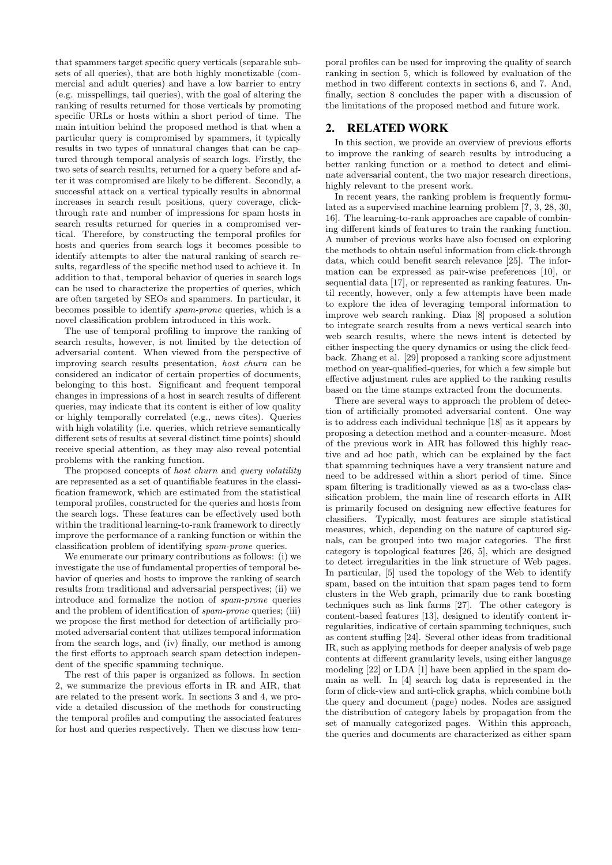that spammers target specific query verticals (separable subsets of all queries), that are both highly monetizable (commercial and adult queries) and have a low barrier to entry (e.g. misspellings, tail queries), with the goal of altering the ranking of results returned for those verticals by promoting specific URLs or hosts within a short period of time. The main intuition behind the proposed method is that when a particular query is compromised by spammers, it typically results in two types of unnatural changes that can be captured through temporal analysis of search logs. Firstly, the two sets of search results, returned for a query before and after it was compromised are likely to be different. Secondly, a successful attack on a vertical typically results in abnormal increases in search result positions, query coverage, clickthrough rate and number of impressions for spam hosts in search results returned for queries in a compromised vertical. Therefore, by constructing the temporal profiles for hosts and queries from search logs it becomes possible to identify attempts to alter the natural ranking of search results, regardless of the specific method used to achieve it. In addition to that, temporal behavior of queries in search logs can be used to characterize the properties of queries, which are often targeted by SEOs and spammers. In particular, it becomes possible to identify *spam-prone* queries, which is a novel classification problem introduced in this work.

The use of temporal profiling to improve the ranking of search results, however, is not limited by the detection of adversarial content. When viewed from the perspective of improving search results presentation, *host churn* can be considered an indicator of certain properties of documents, belonging to this host. Significant and frequent temporal changes in impressions of a host in search results of different queries, may indicate that its content is either of low quality or highly temporally correlated (e.g., news cites). Queries with high volatility (i.e. queries, which retrieve semantically different sets of results at several distinct time points) should receive special attention, as they may also reveal potential problems with the ranking function.

The proposed concepts of *host churn* and *query volatility* are represented as a set of quantifiable features in the classification framework, which are estimated from the statistical temporal profiles, constructed for the queries and hosts from the search logs. These features can be effectively used both within the traditional learning-to-rank framework to directly improve the performance of a ranking function or within the classification problem of identifying *spam-prone* queries.

We enumerate our primary contributions as follows: (i) we investigate the use of fundamental properties of temporal behavior of queries and hosts to improve the ranking of search results from traditional and adversarial perspectives; (ii) we introduce and formalize the notion of *spam-prone* queries and the problem of identification of *spam-prone* queries; (iii) we propose the first method for detection of artificially promoted adversarial content that utilizes temporal information from the search logs, and (iv) finally, our method is among the first efforts to approach search spam detection independent of the specific spamming technique.

The rest of this paper is organized as follows. In section 2, we summarize the previous efforts in IR and AIR, that are related to the present work. In sections 3 and 4, we provide a detailed discussion of the methods for constructing the temporal profiles and computing the associated features for host and queries respectively. Then we discuss how tem-

poral profiles can be used for improving the quality of search ranking in section 5, which is followed by evaluation of the method in two different contexts in sections 6, and 7. And, finally, section 8 concludes the paper with a discussion of the limitations of the proposed method and future work.

# 2. RELATED WORK

In this section, we provide an overview of previous efforts to improve the ranking of search results by introducing a better ranking function or a method to detect and eliminate adversarial content, the two major research directions, highly relevant to the present work.

In recent years, the ranking problem is frequently formulated as a supervised machine learning problem [**?**, 3, 28, 30, 16]. The learning-to-rank approaches are capable of combining different kinds of features to train the ranking function. A number of previous works have also focused on exploring the methods to obtain useful information from click-through data, which could benefit search relevance [25]. The information can be expressed as pair-wise preferences [10], or sequential data [17], or represented as ranking features. Until recently, however, only a few attempts have been made to explore the idea of leveraging temporal information to improve web search ranking. Diaz [8] proposed a solution to integrate search results from a news vertical search into web search results, where the news intent is detected by either inspecting the query dynamics or using the click feedback. Zhang et al. [29] proposed a ranking score adjustment method on year-qualified-queries, for which a few simple but effective adjustment rules are applied to the ranking results based on the time stamps extracted from the documents.

There are several ways to approach the problem of detection of artificially promoted adversarial content. One way is to address each individual technique [18] as it appears by proposing a detection method and a counter-measure. Most of the previous work in AIR has followed this highly reactive and ad hoc path, which can be explained by the fact that spamming techniques have a very transient nature and need to be addressed within a short period of time. Since spam filtering is traditionally viewed as as a two-class classification problem, the main line of research efforts in AIR is primarily focused on designing new effective features for classifiers. Typically, most features are simple statistical measures, which, depending on the nature of captured signals, can be grouped into two major categories. The first category is topological features [26, 5], which are designed to detect irregularities in the link structure of Web pages. In particular, [5] used the topology of the Web to identify spam, based on the intuition that spam pages tend to form clusters in the Web graph, primarily due to rank boosting techniques such as link farms [27]. The other category is content-based features [13], designed to identify content irregularities, indicative of certain spamming techniques, such as content stuffing [24]. Several other ideas from traditional IR, such as applying methods for deeper analysis of web page contents at different granularity levels, using either language modeling [22] or LDA [1] have been applied in the spam domain as well. In [4] search log data is represented in the form of click-view and anti-click graphs, which combine both the query and document (page) nodes. Nodes are assigned the distribution of category labels by propagation from the set of manually categorized pages. Within this approach, the queries and documents are characterized as either spam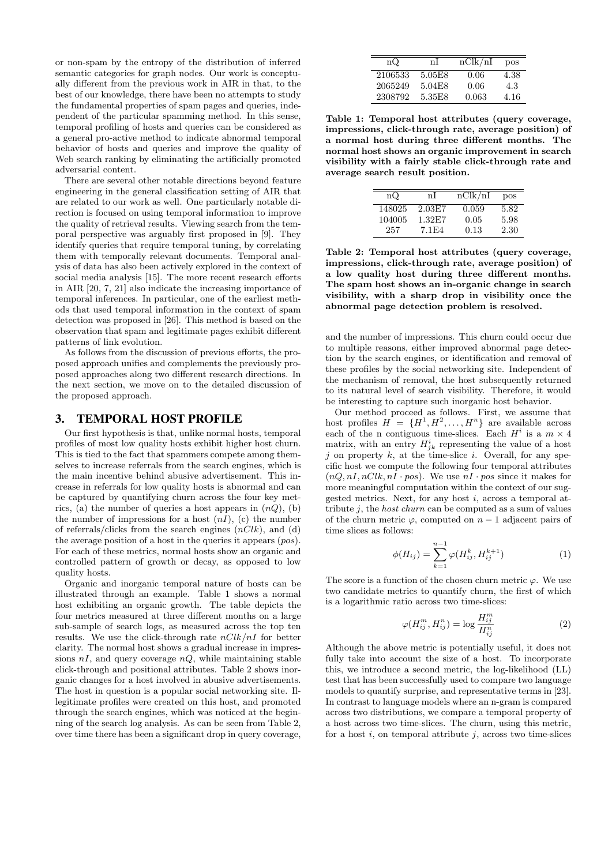or non-spam by the entropy of the distribution of inferred semantic categories for graph nodes. Our work is conceptually different from the previous work in AIR in that, to the best of our knowledge, there have been no attempts to study the fundamental properties of spam pages and queries, independent of the particular spamming method. In this sense, temporal profiling of hosts and queries can be considered as a general pro-active method to indicate abnormal temporal behavior of hosts and queries and improve the quality of Web search ranking by eliminating the artificially promoted adversarial content.

There are several other notable directions beyond feature engineering in the general classification setting of AIR that are related to our work as well. One particularly notable direction is focused on using temporal information to improve the quality of retrieval results. Viewing search from the temporal perspective was arguably first proposed in [9]. They identify queries that require temporal tuning, by correlating them with temporally relevant documents. Temporal analysis of data has also been actively explored in the context of social media analysis [15]. The more recent research efforts in AIR [20, 7, 21] also indicate the increasing importance of temporal inferences. In particular, one of the earliest methods that used temporal information in the context of spam detection was proposed in [26]. This method is based on the observation that spam and legitimate pages exhibit different patterns of link evolution.

As follows from the discussion of previous efforts, the proposed approach unifies and complements the previously proposed approaches along two different research directions. In the next section, we move on to the detailed discussion of the proposed approach.

### 3. TEMPORAL HOST PROFILE

Our first hypothesis is that, unlike normal hosts, temporal profiles of most low quality hosts exhibit higher host churn. This is tied to the fact that spammers compete among themselves to increase referrals from the search engines, which is the main incentive behind abusive advertisement. This increase in referrals for low quality hosts is abnormal and can be captured by quantifying churn across the four key metrics, (a) the number of queries a host appears in (*nQ*), (b) the number of impressions for a host (*nI*), (c) the number of referrals/clicks from the search engines (*nClk*), and (d) the average position of a host in the queries it appears (*pos*). For each of these metrics, normal hosts show an organic and controlled pattern of growth or decay, as opposed to low quality hosts.

Organic and inorganic temporal nature of hosts can be illustrated through an example. Table 1 shows a normal host exhibiting an organic growth. The table depicts the four metrics measured at three different months on a large sub-sample of search logs, as measured across the top ten results. We use the click-through rate *nClk/nI* for better clarity. The normal host shows a gradual increase in impressions *nI*, and query coverage *nQ*, while maintaining stable click-through and positional attributes. Table 2 shows inorganic changes for a host involved in abusive advertisements. The host in question is a popular social networking site. Illegitimate profiles were created on this host, and promoted through the search engines, which was noticed at the beginning of the search log analysis. As can be seen from Table 2, over time there has been a significant drop in query coverage,

| nQ      | nI     | nClk/nI | pos  |
|---------|--------|---------|------|
| 2106533 | 5.05E8 | 0.06    | 4.38 |
| 2065249 | 5.04E8 | 0.06    | 4.3  |
| 2308792 | 5.35E8 | 0.063   | 4.16 |

**Table 1: Temporal host attributes (query coverage, impressions, click-through rate, average position) of a normal host during three different months. The normal host shows an organic improvement in search visibility with a fairly stable click-through rate and average search result position.**

| nQ     | nI     | nClk/nI | pos  |
|--------|--------|---------|------|
| 148025 | 2.03E7 | 0.059   | 5.82 |
| 104005 | 1.32E7 | 0.05    | 5.98 |
| 257    | 7.1E4  | 0.13    | 2.30 |

**Table 2: Temporal host attributes (query coverage, impressions, click-through rate, average position) of a low quality host during three different months. The spam host shows an in-organic change in search visibility, with a sharp drop in visibility once the abnormal page detection problem is resolved.**

and the number of impressions. This churn could occur due to multiple reasons, either improved abnormal page detection by the search engines, or identification and removal of these profiles by the social networking site. Independent of the mechanism of removal, the host subsequently returned to its natural level of search visibility. Therefore, it would be interesting to capture such inorganic host behavior.

Our method proceed as follows. First, we assume that host profiles  $H = \{H^1, H^2, \ldots, H^n\}$  are available across each of the n contiguous time-slices. Each  $H^i$  is a  $m \times 4$ matrix, with an entry  $H_{jk}^i$  representing the value of a host *j* on property *k*, at the time-slice *i*. Overall, for any specific host we compute the following four temporal attributes  $(nQ, nI, nClk, nI \cdot pos)$ . We use  $nI \cdot pos$  since it makes for more meaningful computation within the context of our suggested metrics. Next, for any host *i*, across a temporal attribute *j*, the *host churn* can be computed as a sum of values of the churn metric  $\varphi$ , computed on  $n-1$  adjacent pairs of time slices as follows:

$$
\phi(H_{ij}) = \sum_{k=1}^{n-1} \varphi(H_{ij}^k, H_{ij}^{k+1})
$$
\n(1)

The score is a function of the chosen churn metric *φ*. We use two candidate metrics to quantify churn, the first of which is a logarithmic ratio across two time-slices:

$$
\varphi(H_{ij}^m, H_{ij}^n) = \log \frac{H_{ij}^m}{H_{ij}^n} \tag{2}
$$

Although the above metric is potentially useful, it does not fully take into account the size of a host. To incorporate this, we introduce a second metric, the log-likelihood (LL) test that has been successfully used to compare two language models to quantify surprise, and representative terms in [23]. In contrast to language models where an n-gram is compared across two distributions, we compare a temporal property of a host across two time-slices. The churn, using this metric, for a host  $i$ , on temporal attribute  $j$ , across two time-slices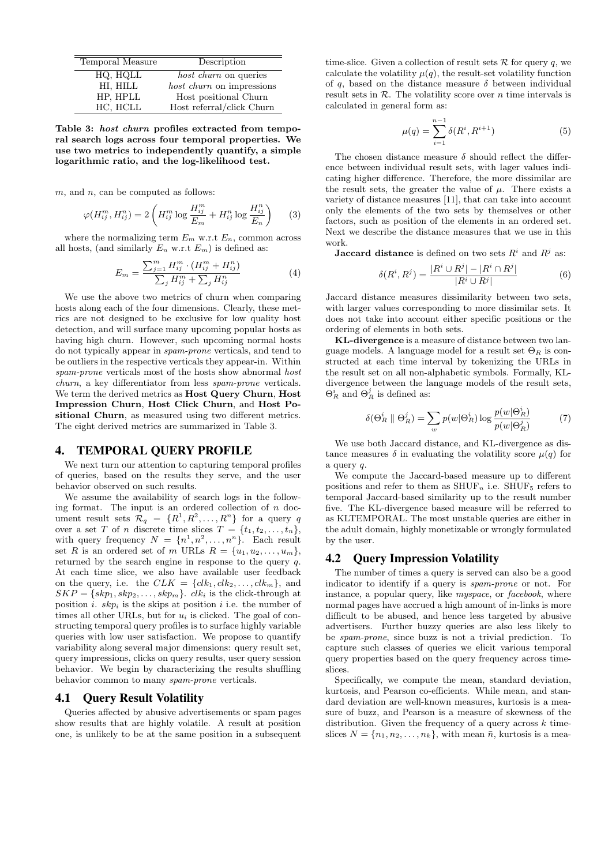| Temporal Measure | Description                  |
|------------------|------------------------------|
| HQ, HQLL         | <i>host churn</i> on queries |
| HI, HILL         | host churn on impressions    |
| HP, HPLL         | Host positional Churn        |
| HC, HCLL         | Host referral/click Churn    |

**Table 3:** *host churn* **profiles extracted from temporal search logs across four temporal properties. We use two metrics to independently quantify, a simple logarithmic ratio, and the log-likelihood test.**

*m*, and *n*, can be computed as follows:

$$
\varphi(H_{ij}^m, H_{ij}^n) = 2\left(H_{ij}^m \log \frac{H_{ij}^m}{E_m} + H_{ij}^n \log \frac{H_{ij}^n}{E_n}\right) \tag{3}
$$

where the normalizing term  $E_m$  w.r.t  $E_n$ , common across all hosts, (and similarly  $E_n$  w.r.t  $E_m$ ) is defined as:

$$
E_m = \frac{\sum_{j=1}^{m} H_{ij}^m \cdot (H_{ij}^m + H_{ij}^n)}{\sum_j H_{ij}^m + \sum_j H_{ij}^n}
$$
(4)

We use the above two metrics of churn when comparing hosts along each of the four dimensions. Clearly, these metrics are not designed to be exclusive for low quality host detection, and will surface many upcoming popular hosts as having high churn. However, such upcoming normal hosts do not typically appear in *spam-prone* verticals, and tend to be outliers in the respective verticals they appear-in. Within *spam-prone* verticals most of the hosts show abnormal *host churn*, a key differentiator from less *spam-prone* verticals. We term the derived metrics as **Host Query Churn**, **Host Impression Churn**, **Host Click Churn**, and **Host Positional Churn**, as measured using two different metrics. The eight derived metrics are summarized in Table 3.

# 4. TEMPORAL QUERY PROFILE

We next turn our attention to capturing temporal profiles of queries, based on the results they serve, and the user behavior observed on such results.

We assume the availability of search logs in the following format. The input is an ordered collection of *n* document result sets  $\mathcal{R}_q = \{R^1, R^2, \ldots, R^n\}$  for a query *q* over a set *T* of *n* discrete time slices  $T = \{t_1, t_2, \ldots, t_n\},\$ with query frequency  $N = \{n^1, n^2, \ldots, n^n\}$ . Each result set *R* is an ordered set of *m* URLs  $R = \{u_1, u_2, \ldots, u_m\}$ , returned by the search engine in response to the query *q*. At each time slice, we also have available user feedback on the query, i.e. the  $CLK = \{clk_1,clk_2, \ldots,clk_m \}$ , and  $SKP = \{skp_1, skp_2, \ldots, skp_m\}$ . *clk<sub>i</sub>* is the click-through at position *i*.  $skp_i$  is the skips at position *i* i.e. the number of times all other URLs, but for *u<sup>i</sup>* is clicked. The goal of constructing temporal query profiles is to surface highly variable queries with low user satisfaction. We propose to quantify variability along several major dimensions: query result set, query impressions, clicks on query results, user query session behavior. We begin by characterizing the results shuffling behavior common to many *spam-prone* verticals.

### 4.1 Query Result Volatility

Queries affected by abusive advertisements or spam pages show results that are highly volatile. A result at position one, is unlikely to be at the same position in a subsequent

time-slice. Given a collection of result sets  $R$  for query  $q$ , we calculate the volatility  $\mu(q)$ , the result-set volatility function of *q*, based on the distance measure  $\delta$  between individual result sets in  $R$ . The volatility score over  $n$  time intervals is calculated in general form as:

$$
\mu(q) = \sum_{i=1}^{n-1} \delta(R^i, R^{i+1})
$$
\n(5)

The chosen distance measure *δ* should reflect the difference between individual result sets, with lager values indicating higher difference. Therefore, the more dissimilar are the result sets, the greater the value of  $\mu$ . There exists a variety of distance measures [11], that can take into account only the elements of the two sets by themselves or other factors, such as position of the elements in an ordered set. Next we describe the distance measures that we use in this work.

**Jaccard distance** is defined on two sets  $R^i$  and  $R^j$  as:

$$
\delta(R^i, R^j) = \frac{|R^i \cup R^j| - |R^i \cap R^j|}{|R^i \cup R^j|} \tag{6}
$$

Jaccard distance measures dissimilarity between two sets, with larger values corresponding to more dissimilar sets. It does not take into account either specific positions or the ordering of elements in both sets.

**KL-divergence** is a measure of distance between two language models. A language model for a result set  $\Theta_R$  is constructed at each time interval by tokenizing the URLs in the result set on all non-alphabetic symbols. Formally, KLdivergence between the language models of the result sets,  $\Theta_R^i$  and  $\Theta_R^j$  is defined as:

$$
\delta(\Theta_R^i \parallel \Theta_R^j) = \sum_w p(w|\Theta_R^i) \log \frac{p(w|\Theta_R^i)}{p(w|\Theta_R^j)} \tag{7}
$$

We use both Jaccard distance, and KL-divergence as distance measures  $\delta$  in evaluating the volatility score  $\mu(q)$  for a query *q*.

We compute the Jaccard-based measure up to different positions and refer to them as  $SHUF_n$  i.e.  $SHUF_5$  refers to temporal Jaccard-based similarity up to the result number five. The KL-divergence based measure will be referred to as KLTEMPORAL. The most unstable queries are either in the adult domain, highly monetizable or wrongly formulated by the user.

## 4.2 Query Impression Volatility

The number of times a query is served can also be a good indicator to identify if a query is *spam-prone* or not. For instance, a popular query, like *myspace*, or *facebook*, where normal pages have accrued a high amount of in-links is more difficult to be abused, and hence less targeted by abusive advertisers. Further buzzy queries are also less likely to be *spam-prone*, since buzz is not a trivial prediction. To capture such classes of queries we elicit various temporal query properties based on the query frequency across timeslices.

Specifically, we compute the mean, standard deviation, kurtosis, and Pearson co-efficients. While mean, and standard deviation are well-known measures, kurtosis is a measure of buzz, and Pearson is a measure of skewness of the distribution. Given the frequency of a query across *k* timeslices  $N = \{n_1, n_2, \ldots, n_k\}$ , with mean  $\bar{n}$ , kurtosis is a mea-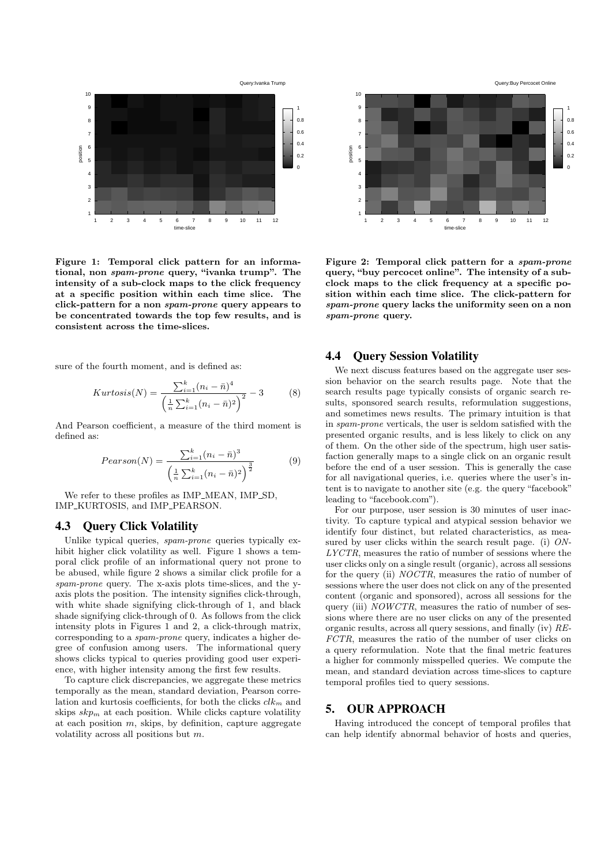

**Figure 1: Temporal click pattern for an informational, non** *spam-prone* **query, "ivanka trump". The intensity of a sub-clock maps to the click frequency at a specific position within each time slice. The click-pattern for a non** *spam-prone* **query appears to be concentrated towards the top few results, and is consistent across the time-slices.**

sure of the fourth moment, and is defined as:

$$
Kurtosis(N) = \frac{\sum_{i=1}^{k} (n_i - \bar{n})^4}{\left(\frac{1}{n}\sum_{i=1}^{k} (n_i - \bar{n})^2\right)^2} - 3
$$
 (8)

And Pearson coefficient, a measure of the third moment is defined as:

$$
Pearson(N) = \frac{\sum_{i=1}^{k} (n_i - \bar{n})^3}{\left(\frac{1}{n}\sum_{i=1}^{k} (n_i - \bar{n})^2\right)^{\frac{3}{2}}}
$$
(9)

We refer to these profiles as IMP\_MEAN, IMP\_SD, IMP\_KURTOSIS, and IMP\_PEARSON.

### 4.3 Query Click Volatility

Unlike typical queries, *spam-prone* queries typically exhibit higher click volatility as well. Figure 1 shows a temporal click profile of an informational query not prone to be abused, while figure 2 shows a similar click profile for a *spam-prone* query. The x-axis plots time-slices, and the yaxis plots the position. The intensity signifies click-through, with white shade signifying click-through of 1, and black shade signifying click-through of 0. As follows from the click intensity plots in Figures 1 and 2, a click-through matrix, corresponding to a *spam-prone* query, indicates a higher degree of confusion among users. The informational query shows clicks typical to queries providing good user experience, with higher intensity among the first few results.

To capture click discrepancies, we aggregate these metrics temporally as the mean, standard deviation, Pearson correlation and kurtosis coefficients, for both the clicks *clk<sup>m</sup>* and skips  $skip_m$  at each position. While clicks capture volatility at each position *m*, skips, by definition, capture aggregate volatility across all positions but *m*.



**Figure 2: Temporal click pattern for a** *spam-prone* **query, "buy percocet online". The intensity of a subclock maps to the click frequency at a specific position within each time slice. The click-pattern for** *spam-prone* **query lacks the uniformity seen on a non** *spam-prone* **query.**

# 4.4 Query Session Volatility

We next discuss features based on the aggregate user session behavior on the search results page. Note that the search results page typically consists of organic search results, sponsored search results, reformulation suggestions, and sometimes news results. The primary intuition is that in *spam-prone* verticals, the user is seldom satisfied with the presented organic results, and is less likely to click on any of them. On the other side of the spectrum, high user satisfaction generally maps to a single click on an organic result before the end of a user session. This is generally the case for all navigational queries, i.e. queries where the user's intent is to navigate to another site (e.g. the query "facebook" leading to "facebook.com").

For our purpose, user session is 30 minutes of user inactivity. To capture typical and atypical session behavior we identify four distinct, but related characteristics, as measured by user clicks within the search result page. (i) *ON-LYCTR*, measures the ratio of number of sessions where the user clicks only on a single result (organic), across all sessions for the query (ii) *NOCTR*, measures the ratio of number of sessions where the user does not click on any of the presented content (organic and sponsored), across all sessions for the query (iii) *NOWCTR*, measures the ratio of number of sessions where there are no user clicks on any of the presented organic results, across all query sessions, and finally (iv) *RE-FCTR*, measures the ratio of the number of user clicks on a query reformulation. Note that the final metric features a higher for commonly misspelled queries. We compute the mean, and standard deviation across time-slices to capture temporal profiles tied to query sessions.

#### 5. OUR APPROACH

Having introduced the concept of temporal profiles that can help identify abnormal behavior of hosts and queries,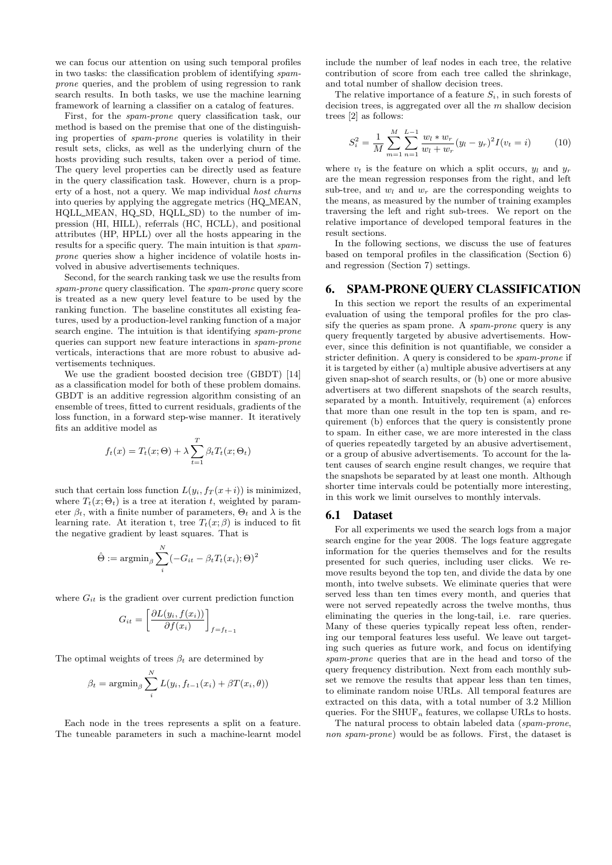we can focus our attention on using such temporal profiles in two tasks: the classification problem of identifying *spamprone* queries, and the problem of using regression to rank search results. In both tasks, we use the machine learning framework of learning a classifier on a catalog of features.

First, for the *spam-prone* query classification task, our method is based on the premise that one of the distinguishing properties of *spam-prone* queries is volatility in their result sets, clicks, as well as the underlying churn of the hosts providing such results, taken over a period of time. The query level properties can be directly used as feature in the query classification task. However, churn is a property of a host, not a query. We map individual *host churns* into queries by applying the aggregate metrics (HQ MEAN, HQLL\_MEAN, HQ\_SD, HQLL\_SD) to the number of impression (HI, HILL), referrals (HC, HCLL), and positional attributes (HP, HPLL) over all the hosts appearing in the results for a specific query. The main intuition is that *spamprone* queries show a higher incidence of volatile hosts involved in abusive advertisements techniques.

Second, for the search ranking task we use the results from *spam-prone* query classification. The *spam-prone* query score is treated as a new query level feature to be used by the ranking function. The baseline constitutes all existing features, used by a production-level ranking function of a major search engine. The intuition is that identifying *spam-prone* queries can support new feature interactions in *spam-prone* verticals, interactions that are more robust to abusive advertisements techniques.

We use the gradient boosted decision tree (GBDT) [14] as a classification model for both of these problem domains. GBDT is an additive regression algorithm consisting of an ensemble of trees, fitted to current residuals, gradients of the loss function, in a forward step-wise manner. It iteratively fits an additive model as

$$
f_t(x) = T_t(x; \Theta) + \lambda \sum_{t=1}^T \beta_t T_t(x; \Theta_t)
$$

such that certain loss function  $L(y_i, f_T(x+i))$  is minimized, where  $T_t(x; \Theta_t)$  is a tree at iteration *t*, weighted by parameter  $\beta_t$ , with a finite number of parameters,  $\Theta_t$  and  $\lambda$  is the learning rate. At iteration t, tree  $T_t(x;\beta)$  is induced to fit the negative gradient by least squares. That is

$$
\hat{\Theta} := \operatorname{argmin}_{\beta} \sum_{i}^{N} (-G_{it} - \beta_t T_t(x_i); \Theta)^2
$$

where  $G_{it}$  is the gradient over current prediction function

$$
G_{it} = \left[\frac{\partial L(y_i, f(x_i))}{\partial f(x_i)}\right]_{f=f_{t-1}}
$$

The optimal weights of trees  $\beta_t$  are determined by

$$
\beta_t = \operatorname{argmin}_{\beta} \sum_{i}^{N} L(y_i, f_{t-1}(x_i) + \beta T(x_i, \theta))
$$

Each node in the trees represents a split on a feature. The tuneable parameters in such a machine-learnt model include the number of leaf nodes in each tree, the relative contribution of score from each tree called the shrinkage, and total number of shallow decision trees.

The relative importance of a feature *Si*, in such forests of decision trees, is aggregated over all the *m* shallow decision trees [2] as follows:

$$
S_i^2 = \frac{1}{M} \sum_{m=1}^{M} \sum_{n=1}^{L-1} \frac{w_l * w_r}{w_l + w_r} (y_l - y_r)^2 I(v_t = i)
$$
 (10)

where  $v_t$  is the feature on which a split occurs,  $y_l$  and  $y_r$ are the mean regression responses from the right, and left sub-tree, and  $w_l$  and  $w_r$  are the corresponding weights to the means, as measured by the number of training examples traversing the left and right sub-trees. We report on the relative importance of developed temporal features in the result sections.

In the following sections, we discuss the use of features based on temporal profiles in the classification (Section 6) and regression (Section 7) settings.

# 6. SPAM-PRONE QUERY CLASSIFICATION

In this section we report the results of an experimental evaluation of using the temporal profiles for the pro classify the queries as spam prone. A *spam-prone* query is any query frequently targeted by abusive advertisements. However, since this definition is not quantifiable, we consider a stricter definition. A query is considered to be *spam-prone* if it is targeted by either (a) multiple abusive advertisers at any given snap-shot of search results, or (b) one or more abusive advertisers at two different snapshots of the search results, separated by a month. Intuitively, requirement (a) enforces that more than one result in the top ten is spam, and requirement (b) enforces that the query is consistently prone to spam. In either case, we are more interested in the class of queries repeatedly targeted by an abusive advertisement, or a group of abusive advertisements. To account for the latent causes of search engine result changes, we require that the snapshots be separated by at least one month. Although shorter time intervals could be potentially more interesting, in this work we limit ourselves to monthly intervals.

#### 6.1 Dataset

For all experiments we used the search logs from a major search engine for the year 2008. The logs feature aggregate information for the queries themselves and for the results presented for such queries, including user clicks. We remove results beyond the top ten, and divide the data by one month, into twelve subsets. We eliminate queries that were served less than ten times every month, and queries that were not served repeatedly across the twelve months, thus eliminating the queries in the long-tail, i.e. rare queries. Many of these queries typically repeat less often, rendering our temporal features less useful. We leave out targeting such queries as future work, and focus on identifying *spam-prone* queries that are in the head and torso of the query frequency distribution. Next from each monthly subset we remove the results that appear less than ten times, to eliminate random noise URLs. All temporal features are extracted on this data, with a total number of 3.2 Million queries. For the  $\text{SHUF}_n$  features, we collapse URLs to hosts.

The natural process to obtain labeled data (*spam-prone*, *non spam-prone*) would be as follows. First, the dataset is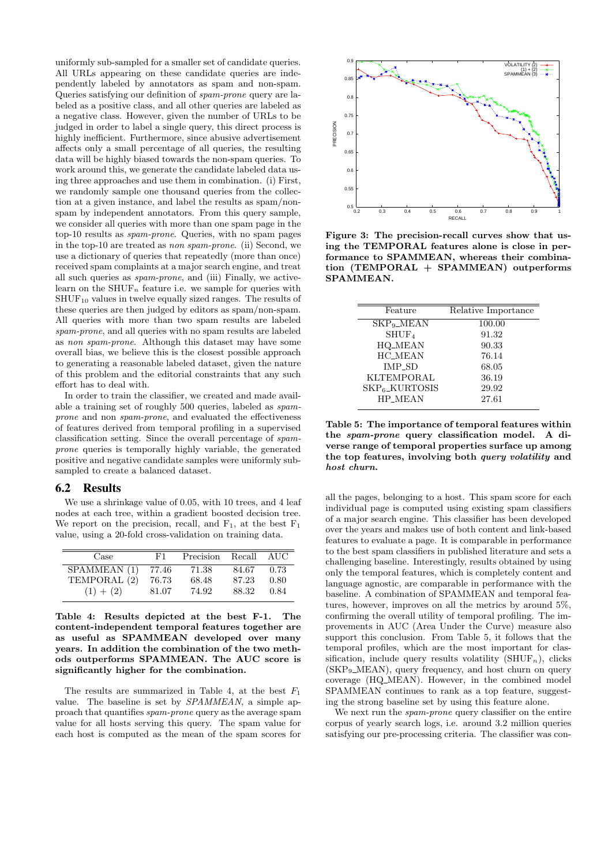uniformly sub-sampled for a smaller set of candidate queries. All URLs appearing on these candidate queries are independently labeled by annotators as spam and non-spam. Queries satisfying our definition of *spam-prone* query are labeled as a positive class, and all other queries are labeled as a negative class. However, given the number of URLs to be judged in order to label a single query, this direct process is highly inefficient. Furthermore, since abusive advertisement affects only a small percentage of all queries, the resulting data will be highly biased towards the non-spam queries. To work around this, we generate the candidate labeled data using three approaches and use them in combination. (i) First, we randomly sample one thousand queries from the collection at a given instance, and label the results as spam/nonspam by independent annotators. From this query sample, we consider all queries with more than one spam page in the top-10 results as *spam-prone*. Queries, with no spam pages in the top-10 are treated as *non spam-prone*. (ii) Second, we use a dictionary of queries that repeatedly (more than once) received spam complaints at a major search engine, and treat all such queries as *spam-prone*, and (iii) Finally, we activelearn on the  $SHUF_n$  feature i.e. we sample for queries with  $SHUF_{10}$  values in twelve equally sized ranges. The results of these queries are then judged by editors as spam/non-spam. All queries with more than two spam results are labeled *spam-prone*, and all queries with no spam results are labeled as *non spam-prone*. Although this dataset may have some overall bias, we believe this is the closest possible approach to generating a reasonable labeled dataset, given the nature of this problem and the editorial constraints that any such effort has to deal with.

In order to train the classifier, we created and made available a training set of roughly 500 queries, labeled as *spamprone* and non *spam-prone*, and evaluated the effectiveness of features derived from temporal profiling in a supervised classification setting. Since the overall percentage of *spamprone* queries is temporally highly variable, the generated positive and negative candidate samples were uniformly subsampled to create a balanced dataset.

#### 6.2 Results

We use a shrinkage value of 0.05, with 10 trees, and 4 leaf nodes at each tree, within a gradient boosted decision tree. We report on the precision, recall, and  $F_1$ , at the best  $F_1$ value, using a 20-fold cross-validation on training data.

| Case         | F1.   | Precision | Recall | AUC  |
|--------------|-------|-----------|--------|------|
| SPAMMEAN (1) | 77.46 | 71.38     | 84.67  | 0.73 |
| TEMPORAL (2) | 76.73 | 68.48     | 87.23  | 0.80 |
| $(1) + (2)$  | 81.07 | 74.92     | 88.32  | 0.84 |

**Table 4: Results depicted at the best F-1. The content-independent temporal features together are as useful as SPAMMEAN developed over many years. In addition the combination of the two methods outperforms SPAMMEAN. The AUC score is significantly higher for the combination.**

The results are summarized in Table 4, at the best *F*<sup>1</sup> value. The baseline is set by *SPAMMEAN*, a simple approach that quantifies *spam-prone* query as the average spam value for all hosts serving this query. The spam value for each host is computed as the mean of the spam scores for



**Figure 3: The precision-recall curves show that using the TEMPORAL features alone is close in performance to SPAMMEAN, whereas their combination (TEMPORAL + SPAMMEAN) outperforms SPAMMEAN.**

| Feature                | Relative Importance |
|------------------------|---------------------|
| SKP <sub>9</sub> _MEAN | 100.00              |
| SHUF <sub>4</sub>      | 91.32               |
| <b>HQ_MEAN</b>         | 90.33               |
| <b>HC MEAN</b>         | 76.14               |
| IMP_SD                 | 68.05               |
| <b>KLTEMPORAL</b>      | 36.19               |
| $SKP6$ _KURTOSIS       | 29.92               |
| <b>HP MEAN</b>         | 27.61               |
|                        |                     |

**Table 5: The importance of temporal features within the** *spam-prone* **query classification model. A diverse range of temporal properties surface up among the top features, involving both** *query volatility* **and** *host churn***.**

all the pages, belonging to a host. This spam score for each individual page is computed using existing spam classifiers of a major search engine. This classifier has been developed over the years and makes use of both content and link-based features to evaluate a page. It is comparable in performance to the best spam classifiers in published literature and sets a challenging baseline. Interestingly, results obtained by using only the temporal features, which is completely content and language agnostic, are comparable in performance with the baseline. A combination of SPAMMEAN and temporal features, however, improves on all the metrics by around 5%, confirming the overall utility of temporal profiling. The improvements in AUC (Area Under the Curve) measure also support this conclusion. From Table 5, it follows that the temporal profiles, which are the most important for classification, include query results volatility  $(SHUF_n)$ , clicks  $(SKP<sub>9</sub>_{MEAN})$ , query frequency, and host churn on query coverage (HQ MEAN). However, in the combined model SPAMMEAN continues to rank as a top feature, suggesting the strong baseline set by using this feature alone.

We next run the *spam-prone* query classifier on the entire corpus of yearly search logs, i.e. around 3.2 million queries satisfying our pre-processing criteria. The classifier was con-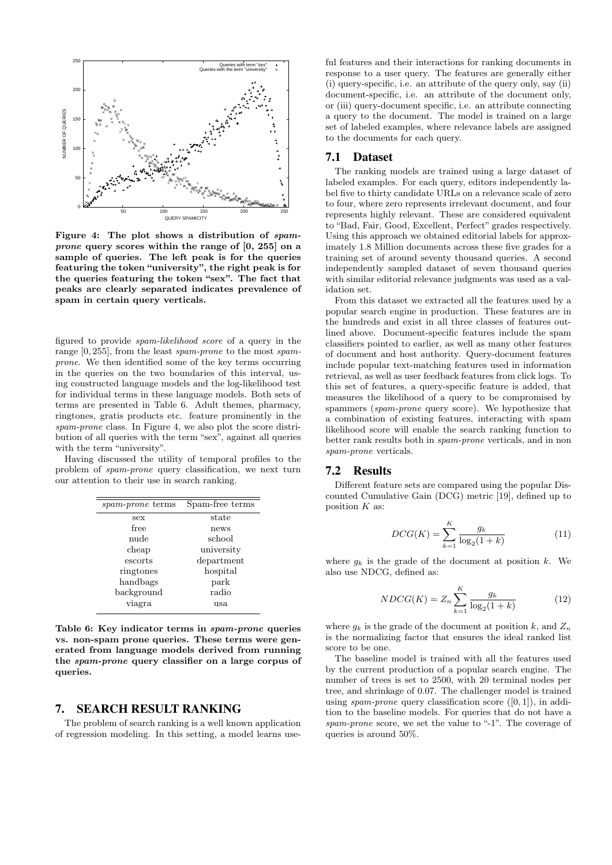

**Figure 4: The plot shows a distribution of** *spamprone* **query scores within the range of [0, 255] on a sample of queries. The left peak is for the queries featuring the token "university", the right peak is for the queries featuring the token "sex". The fact that peaks are clearly separated indicates prevalence of spam in certain query verticals.**

figured to provide *spam-likelihood score* of a query in the range [0*,* 255], from the least *spam-prone* to the most *spamprone*. We then identified some of the key terms occurring in the queries on the two boundaries of this interval, using constructed language models and the log-likelihood test for individual terms in these language models. Both sets of terms are presented in Table 6. Adult themes, pharmacy, ringtones, gratis products etc. feature prominently in the *spam-prone* class. In Figure 4, we also plot the score distribution of all queries with the term "sex", against all queries with the term "university".

Having discussed the utility of temporal profiles to the problem of *spam-prone* query classification, we next turn our attention to their use in search ranking.

| spam-prone terms | Spam-free terms |
|------------------|-----------------|
| sex              | state           |
| free             | news            |
| nude             | school          |
| cheap            | university      |
| escorts          | department      |
| ringtones        | hospital        |
| handbags         | park            |
| background       | radio           |
| viagra           | usa             |

**Table 6: Key indicator terms in** *spam-prone* **queries vs. non-spam prone queries. These terms were generated from language models derived from running the** *spam-prone* **query classifier on a large corpus of queries.**

### 7. SEARCH RESULT RANKING

The problem of search ranking is a well known application of regression modeling. In this setting, a model learns use-

ful features and their interactions for ranking documents in response to a user query. The features are generally either (i) query-specific, i.e. an attribute of the query only, say (ii) document-specific, i.e. an attribute of the document only, or (iii) query-document specific, i.e. an attribute connecting a query to the document. The model is trained on a large set of labeled examples, where relevance labels are assigned to the documents for each query.

#### 7.1 Dataset

The ranking models are trained using a large dataset of labeled examples. For each query, editors independently label five to thirty candidate URLs on a relevance scale of zero to four, where zero represents irrelevant document, and four represents highly relevant. These are considered equivalent to "Bad, Fair, Good, Excellent, Perfect" grades respectively. Using this approach we obtained editorial labels for approximately 1.8 Million documents across these five grades for a training set of around seventy thousand queries. A second independently sampled dataset of seven thousand queries with similar editorial relevance judgments was used as a validation set.

From this dataset we extracted all the features used by a popular search engine in production. These features are in the hundreds and exist in all three classes of features outlined above. Document-specific features include the spam classifiers pointed to earlier, as well as many other features of document and host authority. Query-document features include popular text-matching features used in information retrieval, as well as user feedback features from click logs. To this set of features, a query-specific feature is added, that measures the likelihood of a query to be compromised by spammers (*spam-prone* query score). We hypothesize that a combination of existing features, interacting with spam likelihood score will enable the search ranking function to better rank results both in *spam-prone* verticals, and in non *spam-prone* verticals.

## 7.2 Results

Different feature sets are compared using the popular Discounted Cumulative Gain (DCG) metric [19], defined up to position *K* as:

$$
DCG(K) = \sum_{k=1}^{K} \frac{g_k}{\log_2(1+k)}\tag{11}
$$

where  $g_k$  is the grade of the document at position  $k$ . We also use NDCG, defined as:

$$
NDCG(K) = Z_n \sum_{k=1}^{K} \frac{g_k}{\log_2(1+k)}
$$
(12)

where  $q_k$  is the grade of the document at position  $k$ , and  $Z_n$ is the normalizing factor that ensures the ideal ranked list score to be one.

The baseline model is trained with all the features used by the current production of a popular search engine. The number of trees is set to 2500, with 20 terminal nodes per tree, and shrinkage of 0.07. The challenger model is trained using *spam-prone* query classification score ([0*,* 1]), in addition to the baseline models. For queries that do not have a *spam-prone* score, we set the value to "-1". The coverage of queries is around 50%.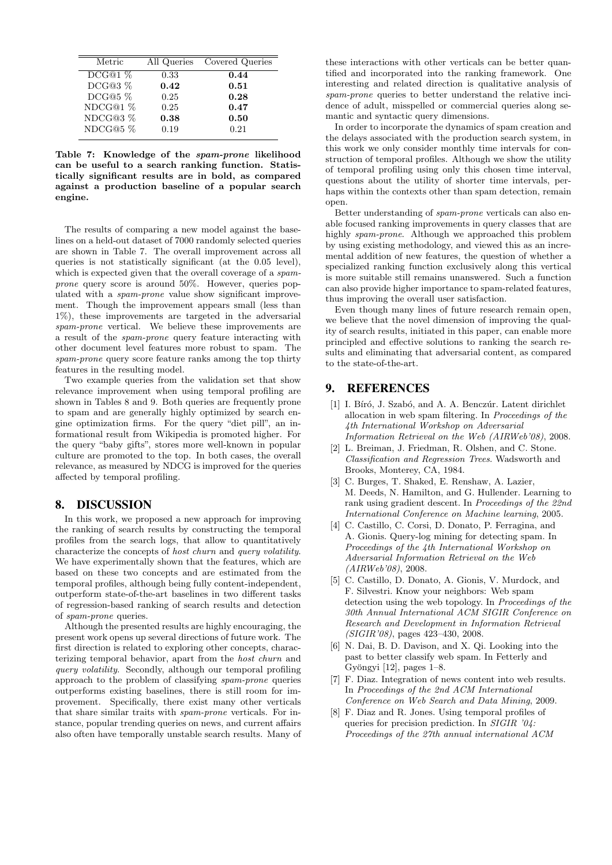| Metric    |      | All Queries Covered Queries |
|-----------|------|-----------------------------|
| $DCG@1\%$ | 0.33 | 0.44                        |
| DCG@3%    | 0.42 | 0.51                        |
| $DCG@5\%$ | 0.25 | 0.28                        |
| NDCG@1 %  | 0.25 | 0.47                        |
| NDCG@3 %  | 0.38 | 0.50                        |
| NDCG@5 %  | 0.19 | 0.21                        |

**Table 7: Knowledge of the** *spam-prone* **likelihood can be useful to a search ranking function. Statistically significant results are in bold, as compared against a production baseline of a popular search engine.**

The results of comparing a new model against the baselines on a held-out dataset of 7000 randomly selected queries are shown in Table 7. The overall improvement across all queries is not statistically significant (at the 0.05 level), which is expected given that the overall coverage of a *spamprone* query score is around 50%. However, queries populated with a *spam-prone* value show significant improvement. Though the improvement appears small (less than 1%), these improvements are targeted in the adversarial *spam-prone* vertical. We believe these improvements are a result of the *spam-prone* query feature interacting with other document level features more robust to spam. The *spam-prone* query score feature ranks among the top thirty features in the resulting model.

Two example queries from the validation set that show relevance improvement when using temporal profiling are shown in Tables 8 and 9. Both queries are frequently prone to spam and are generally highly optimized by search engine optimization firms. For the query "diet pill", an informational result from Wikipedia is promoted higher. For the query "baby gifts", stores more well-known in popular culture are promoted to the top. In both cases, the overall relevance, as measured by NDCG is improved for the queries affected by temporal profiling.

# 8. DISCUSSION

In this work, we proposed a new approach for improving the ranking of search results by constructing the temporal profiles from the search logs, that allow to quantitatively characterize the concepts of *host churn* and *query volatility*. We have experimentally shown that the features, which are based on these two concepts and are estimated from the temporal profiles, although being fully content-independent, outperform state-of-the-art baselines in two different tasks of regression-based ranking of search results and detection of *spam-prone* queries.

Although the presented results are highly encouraging, the present work opens up several directions of future work. The first direction is related to exploring other concepts, characterizing temporal behavior, apart from the *host churn* and *query volatility*. Secondly, although our temporal profiling approach to the problem of classifying *spam-prone* queries outperforms existing baselines, there is still room for improvement. Specifically, there exist many other verticals that share similar traits with *spam-prone* verticals. For instance, popular trending queries on news, and current affairs also often have temporally unstable search results. Many of

these interactions with other verticals can be better quantified and incorporated into the ranking framework. One interesting and related direction is qualitative analysis of *spam-prone* queries to better understand the relative incidence of adult, misspelled or commercial queries along semantic and syntactic query dimensions.

In order to incorporate the dynamics of spam creation and the delays associated with the production search system, in this work we only consider monthly time intervals for construction of temporal profiles. Although we show the utility of temporal profiling using only this chosen time interval, questions about the utility of shorter time intervals, perhaps within the contexts other than spam detection, remain open.

Better understanding of *spam-prone* verticals can also enable focused ranking improvements in query classes that are highly *spam-prone*. Although we approached this problem by using existing methodology, and viewed this as an incremental addition of new features, the question of whether a specialized ranking function exclusively along this vertical is more suitable still remains unanswered. Such a function can also provide higher importance to spam-related features, thus improving the overall user satisfaction.

Even though many lines of future research remain open, we believe that the novel dimension of improving the quality of search results, initiated in this paper, can enable more principled and effective solutions to ranking the search results and eliminating that adversarial content, as compared to the state-of-the-art.

# 9. REFERENCES

- [1] I. Bíró, J. Szabó, and A. A. Benczúr. Latent dirichlet allocation in web spam filtering. In *Proceedings of the 4th International Workshop on Adversarial Information Retrieval on the Web (AIRWeb'08)*, 2008.
- [2] L. Breiman, J. Friedman, R. Olshen, and C. Stone. *Classification and Regression Trees*. Wadsworth and Brooks, Monterey, CA, 1984.
- [3] C. Burges, T. Shaked, E. Renshaw, A. Lazier, M. Deeds, N. Hamilton, and G. Hullender. Learning to rank using gradient descent. In *Proceedings of the 22nd International Conference on Machine learning*, 2005.
- [4] C. Castillo, C. Corsi, D. Donato, P. Ferragina, and A. Gionis. Query-log mining for detecting spam. In *Proceedings of the 4th International Workshop on Adversarial Information Retrieval on the Web (AIRWeb'08)*, 2008.
- [5] C. Castillo, D. Donato, A. Gionis, V. Murdock, and F. Silvestri. Know your neighbors: Web spam detection using the web topology. In *Proceedings of the 30th Annual International ACM SIGIR Conference on Research and Development in Information Retrieval (SIGIR'08)*, pages 423–430, 2008.
- [6] N. Dai, B. D. Davison, and X. Qi. Looking into the past to better classify web spam. In Fetterly and Gyöngyi  $[12]$ , pages  $1-8$ .
- [7] F. Diaz. Integration of news content into web results. In *Proceedings of the 2nd ACM International Conference on Web Search and Data Mining*, 2009.
- [8] F. Diaz and R. Jones. Using temporal profiles of queries for precision prediction. In *SIGIR '04: Proceedings of the 27th annual international ACM*